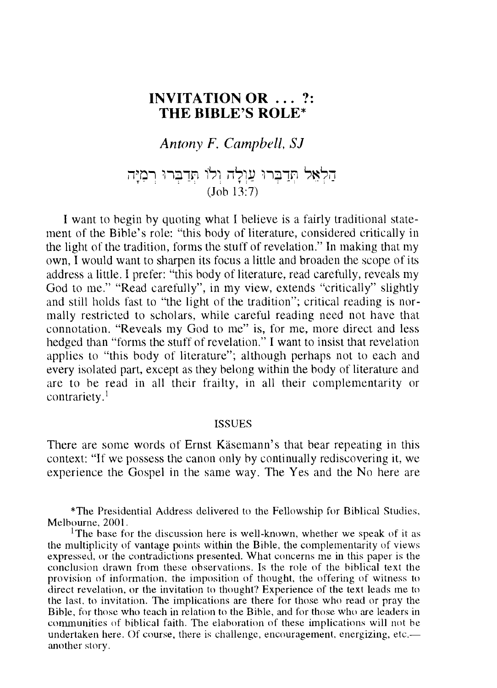# **INVITATION OR** ... ?: **THE BIBLE'S ROLE\***

*Antony F. Campbell.* S1

umpbeu, כלאל תְּדַבְּרוּ עֲוְלָה וְלוֹ תְּדַבְּרוּ רְמָיָה<br>הַלְאֵל תְּדַבְּרוּ עֲוְלָה וְלוֹ תְּדַבְּרוּ רְמִיָּה (Joh 13:7)

I want to hegin hy quoting what I helieve is a fairly traditional statement of the Bihle's role: "this hody of literature, considered critically in the light of the tradition, forms the stuff of revelation." In making that my own, I would want to sharpen its focus a little and hroaden the scope of its address a little. I prefer: "this body of literature, read carefully, reveals my God to me." "Read carefully", in my view, extends "critically" slightly and still holds fast to "the light of the tradition"; critical reading is normally restricted to scholars, while careful reading need not have that connotation. "Reveals my God to me" is, for me, more direct and less hedged than "forms the stuff of revelation." I want to insist that revelation applies to "this hody of literature"; although perhaps not to each and every isolated part, except as they helong within the hody of literature and are to he read in all their frailty, in all their complementarity or contrariety.<sup>1</sup>

#### ISSUES

There are some words of Ernst Kasemann's that hear repeating in this context: "If we possess the canon only hy continually rediscovering it, we experience the Gospel in the same way. The Yes and the No here are

\*The Presidential Address delivered to the Fellowship for Bihlical Studies, Melhourne, 2001 .

<sup>1</sup>The base for the discussion here is well-known, whether we speak of it as the multiplicity of vantage points within the Bihle, the complementarity of views expressed, or the contradictions presented. What concerns me in this paper is the conclusion drawn from these ohservations. Is the role of the hihlical text the provision of information, the imposition of thought, the offering of witness to direct revelation, or the invitation to thought? Experience of the text leads me to the last, to invitation. The implications are there for those who read or pray the Bihle, for those who teach in relation to the Bihle, and for those who are leaders in communities of biblical faith. The elaboration of these implications will not be undertaken here. Of course, there is challenge, encouragement, energizing, etc. another story.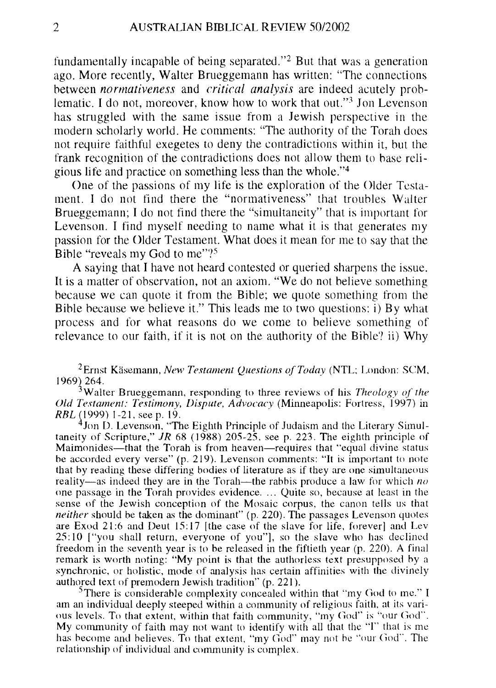fundamentally incapahle of heing separated."2 But that was a generation ago. More recently, Waiter Brueggemann has written: "The connections hetween *normativeness* and *critical analysis* are indeed acutely prohlematic. I do not, moreover, know how to work that out."<sup>3</sup> Jon Levenson has struggled with the same issue from a Jewish perspective in the modern scholarly world. He comments: "The authority of the Torah does not require faithful exegetes to deny the contradictions within it, hut the frank recognition of the contradictions does not allow them to hase religious life and practice on something less than the whole."4

One of the passions of my life is the exploration of the Older Testament. I do not find there the "normativeness" that trouhles Waiter Brueggemann; I do not find there the "simultaneity" that is important for Levenson. I find myself needing to name what it is that generates my passion for the Older Testament. What does it mean for me to say that the Bible "reveals my God to me"?<sup>5</sup>

A saying that I have not heard contested or queried sharpens the issue. It is a matter of ohservation, not an axiom. "We do not helieve something hecause we can quote it from the Bihle; we quote something from the Bihle hecause we helieve it." This leads me to two questions: i) By what process and for what reasons do we come to helieve something of relevance to our faith, if it is not on the authority of the Bible? ii) Why

<sup>2</sup> Ernst Käsemann, *New Testament Questions of Today* (NTL; London: SCM, 1969~ 264.

<sup>3</sup>Walter Brueggemann, responding to three reviews of his *Theology of the Old Testament: Testimony, Dispute, Advocacy* (Minneapolis: Fortress, 1997) in RBL (1999) 1-21, see p. 19.

<sup>4</sup>Jon D. Levenson, "The Eighth Principle of Judaism and the Literary Simultaneity of Scripture," JR 68 (1988) 205-25, see p. 223. The eighth principle of Maimonides-that the Torah is from heaven-requires that "equal divine status be accorded every verse" (p. 219). Levenson comments: "It is important to note that by reading these differing bodies of literature as if they are one simultaneous reality-as indeed they are in the Torah-the rabbis produce a law for which *no*  ()ne passage in the Torah provides evidence .... Quite so, because at least in the sense of the Jewish conception of the Mosaic corpus, the canon tells us that *neither* should be taken as the dominant" (p. 220). The passages Levenson quotes are Exod 21:6 and Deut 15:17 [the case of the slave for life, forever] and Lev 25: 10 ["you shall return, everyone of you"], so the slave who has declined freedom in the seventh year is to be released in the fiftieth year (p. 220). A final remark is worth noting: "My point is that the authorless text presupposed hy a synchronic, or holistic, mode of analysis has certain affinities with the divinely authored text of premodern Jewish tradition" (p. 221).

 $3$ There is considerable complexity concealed within that "my God to me." I am an individual deeply steeped within a community of religious faith, at its various levels. To that extent, within that faith community, "my God" is "our God". My community of faith may not want to identify with all that the "I" that is me has become and believes. To that extent, "my God" may not be "our God". The relationship of individual and community is complex.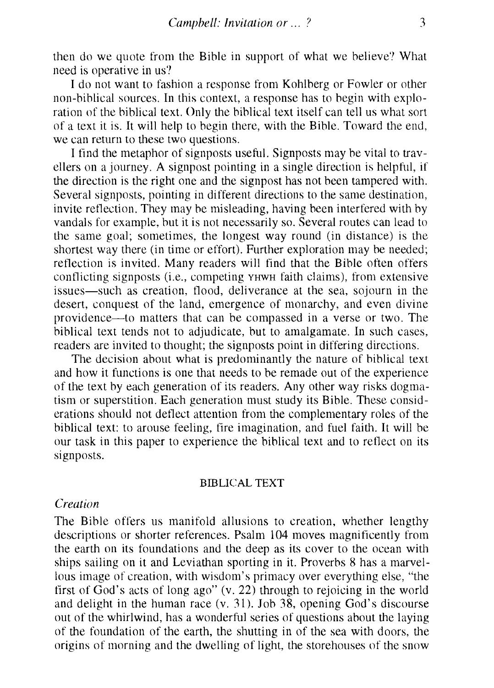then do we quote from the Bihle in support of what we helieve? What need is operative in us?

I do not want to fashion a response from Kohlherg or Fowler or other non-hihlical sources. **In** this context, a response has to hegin with exploration of the hihlical text. Only the hihlical text itself can tell us what sort of a text it is. **It** will help to hegin there, with the Bihle. Toward the end, we can return to these two questions.

I find the metaphor of signposts useful. Signposts may he vital to travellers on a journey. A signpost pointing in a single direction is helpful, if the direction is the right one and the signpost has not heen tampered with. Several signposts, pointing in different directions to the same destination, invite reflection. They may he misleading, having heen interfered with hy vandals for example, hut it is not necessarily so. Several routes can lead to the same goal; sometimes, the longest way round (in distance) is the shortest way there (in time or effort). Further exploration may he needed; retlection is invited. Many readers will find that the Bihle often offers conflicting signposts (i.e., competing YHWH faith claims), from extensive issues—such as creation, flood, deliverance at the sea, sojourn in the desert, conquest of the land, emergence of monarchy, and even divine providence-to matters that can he compassed in a verse or two. The hihlical text tends not to adjudicate, hut to amalgamate. **In** such cases, readers are invited to thought; the signposts point in differing directions.

The decision ahout what is predominantly the nature of hihlical text and how it functions is one that needs to he remade out of the experience of the text hy each generation of its readers. Any other way risks dogmatism or superstition. Each generation must study its Bihle. These considerations should not deflect attention from the complementary roles of the hihlical text: to arouse feeling, tire imagination, and fuel faith. It will he our task in this paper to experience the hihlical text and to reflect on its signposts.

#### BIDLICAL TEXT

## *Creation*

The Bihle offers us manifold allusions to creation, whether lengthy descriptions or shorter references. Psalm lO4 moves magniticently from the earth on its foundations and the deep as its cover to the ocean with ships sailing on it and Leviathan sporting in it. Proverbs 8 has a marvellous image of creation, with wisdom's primacy over everything else, "the tirst of God's acts of long ago" (v. 22) through to rejoicing in the world and delight in the human race (v. 31). Joh 38, opening God's discourse out of the whirlwind, has a wonderful series of questions ahout the laying of the foundation of the earth, the shutting in of the sea with doors, the origins of morning and the dwelling of light, the storehouses of the snow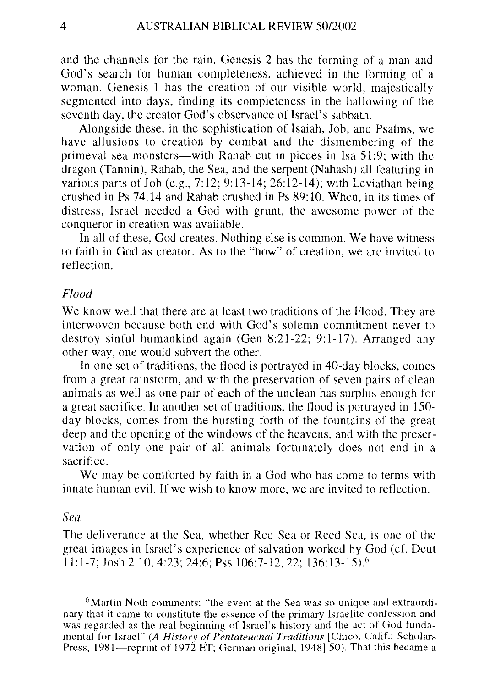and the channels for the rain. Genesis 2 has the forming of a man and God's search for human completeness, achieved in the forming of a woman. Genesis 1 has the creation of our visible world, majestically segmented into days, finding its completeness in the hallowing of the seventh day, the creator God's observance of Israel's sabbath.

Alongside these, in the sophistication of Isaiah, Job, and Psalms, we have allusions to creation by combat and the dismembering of the primeval sea monsters-with Rahab cut in pieces in Isa 51 :9; with the dragon (Tannin), Rahab, the Sea, and the serpent (Nahash) all featuring in various parts of Job (e.g., 7:12; 9:13-14; 26:12-14); with Leviathan heing crushed in Ps 74: 14 and Rahab crushed in Ps 89: 10. When, in its times of distress, Israel needed a God with grunt, the awesome power of the conqueror in creation was available.

In all of these, God creates. Nothing else is common. We have witness to faith in God as creator. As to the "how" of creation, we are invited to reflection.

#### *Flood*

We know well that there are at least two traditions of the Flood. They are interwoven because both end with God's solemn commitment never to destroy sinful humankind again (Gen  $8:21-22$ ; 9:1-17). Arranged any other way, one would subvert the other.

**In** one set of traditions, the flood is portrayed in 40-day blocks, comes from a great rainstorm, and with the preservation of seven pairs of clean animals as well as one pair of each of the unclean has surplus enough for a great sacrifice. **In** another set of traditions, the flood is portrayed in 150 day blocks, comes from the bursting forth of the fountains of the great deep and the opening of the windows of the heavens, and with the preservation of only one pair of all animals fortunately does not end in a sacrifice.

We may be comforted hy faith in a God who has come to terms with innate human evil. If we wish to know more, we are invited to reflection.

#### *Sea*

The deliverance at the Sea, whether Red Sea or Reed Sea, is one of the great images in Israel's experience of salvation worked by God (cf. Deut 11: 1-7; Josh 2:10; 4:23; 24:6; Pss 106:7-12,22; 136:13-15).6

 $6$ Martin Noth comments: "the event at the Sea was so unique and extraordinary that it came to constitute the essence of the primary Israelite confession and was regarded as the real beginning of Israel's history and the act of God fundamental for Israel" (A History of Pentateuchal Traditions [Chico, Calif.: Scholars Press,  $1981$ —reprint of  $1972$  ET; German original,  $1948$ ] 50). That this became a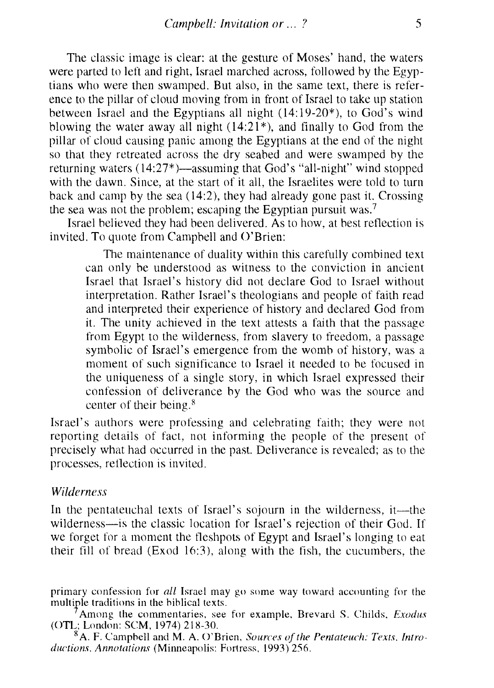The classic image is clear: at the gesture of Moses' hand, the waters were parted to left and right, Israel marched across, followed hy the Egyptians who were then swamped. But also, in the same text, there is reference to the pillar of cloud moving from in front of Israel to take up station hetween Israel and the Egyptians all night (14: 19-20\*), to God's wind blowing the water away all night  $(14:21^*)$ , and finally to God from the pillar of cloud causing panic among the Egyptians at the end of the night so that they retreated across the dry seahed and were swamped hy the returning waters  $(14:27^*)$ —assuming that God's "all-night" wind stopped with the dawn. Since, at the start of it all, the Israelites were told to turn hack and camp hy the sea (14:2), they had already gone past it. Crossing the sea was not the problem; escaping the Egyptian pursuit was.<sup>7</sup>

Israel helieved they had heen delivered. As to how, at hest reflection is invited. To quote from Camphell and O'Brien:

The maintenance of duality within this carefully comhined text can only he understood as witness to the conviction in ancient Israel that Israel's history did not declare God to Israel without interpretation. Rather Israel's theologians and people of faith read and interpreted their experience of history and declared God from it. The unity achieved in the text attests a faith that the passage from Egypt to the wilderness, from slavery to freedom, a passage symholic of Israel's emergence from the womh of history, was a moment of such significance to Israel it needed to he focused in the uniqueness of a single story, in which Israel expressed their confession of deliverance hy the God who was the source and center of their being.<sup>8</sup>

Israel's authors were professing and celehrating faith; they were not reporting details of fact, not informing the people of the present of precisely what had occurred in the past. Deliverance is revealed; as to the processes, retlection is invited.

#### *Wilderness*

In the pentateuchal texts of Israel's sojourn in the wilderness, it—the wilderness-is the classic location for Israel's rejection of their God. If we forget for a moment the fleshpots of Egypt and Israel's longing to eat their fill of hread (Exod 16:3), along with the fish, the cucumhers, the

primary confession for *all* Israel may go some way toward accounting for the multiple traditions in the hihlical texts.

Among the commentaries, see for example, Brevard S. Childs, *Exodus* (OTL; London: SCM, 1974) 218-30.

8 A. F. CampheU and M. A. ()'Brien, *Sources of the Pentateuch: Texts. Introductions. Annotations (Minneapolis: Fortress, 1993) 256.*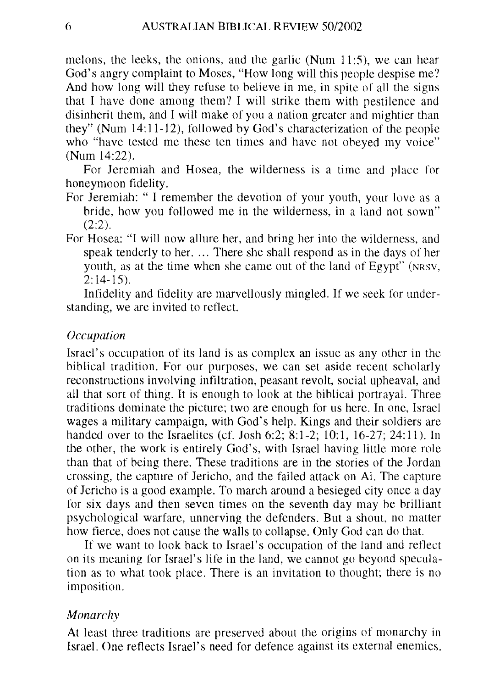melons, the leeks, the onions, and the garlic (Num  $11:5$ ), we can hear God's angry complaint to Moses, "How long will this people despise me'? And how long will they refuse to helieve in me, in spite of all the signs that I have done among them? I will strike them with pestilence and disinherit them, and I will make of you a nation greater and mightier than they" (Num 14:11-12), followed hy God's characterization of the people who "have tested me these ten times and have not obeyed my voice" (Num 14:22).

For Jeremiah and Hosea, the wilderness is a time and place for honeymoon fidelity.

- For Jeremiah: "I remember the devotion of your youth, your love as a hride, how you followed me in the wilderness, in a land not sown" (2:2).
- For Hosea: "I will now allure her, and hring her into the wilderness, and speak tenderly to her. ... There she shall respond as in the days of her youth, as at the time when she came out of the land of Egypt" (NRSV,  $2:14-15$ .

Infidelity and fidelity are marvellously mingled. If we seek for understanding, we are invited to retlect.

#### *Occupation*

Israel's occupation of its land is as complex an issue as any other in the hihlical tradition. For our purposes, we can set aside recent scholarly reconstructions involving infiltration, peasant revolt, social upheaval, and all that sort of thing. It is enough to look at the hihlical portrayal. Three traditions dominate the picture; two are enough for us here. In one, Israel wages a military campaign, with God's help. Kings and their soldiers are handed over to the Israelites (cf. Josh 6:2; 8:1-2; 10:1, 16-27; 24:11). In the other, the work is entirely God's, with Israel having little more role than that of heing there. These traditions are in the stories of the Jordan crossing, the capture of Jericho, and the failed attack on Ai. The capture of Jericho is a good example. To march around a hesieged city once a day for six days and then seven times on the seventh day may he hrilliant psychological warfare, unnerving the defenders. But a shout, no matter how fierce, does not cause the walls to collapse. Only God can do that.

If we want to look hack to Israel's occupation of the land and reflect on its meaning for Israel's life in the land, we cannot go heyond speculation as to what took place. There is an invitation to thought; there is no imposition.

#### *Monarchy*

At least three traditions are preserved ahout the origins of monarchy in Israel. One reflects Israel's need for defence against its external enemies.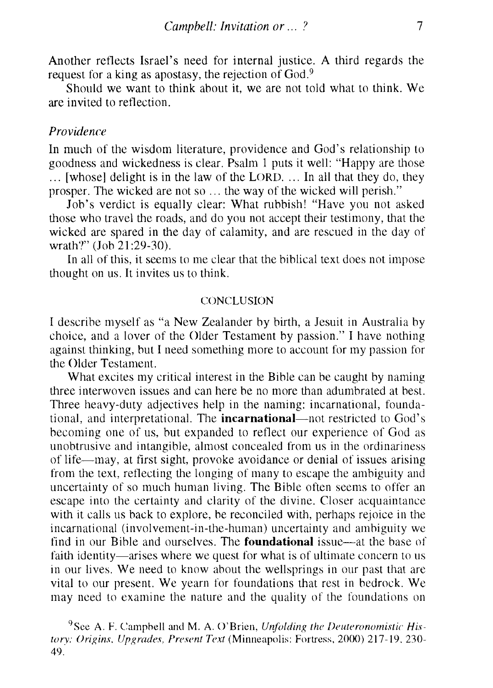Another retlects Israel's need for internal justice. A third regards the request for a king as apostasy, the rejection of God.<sup>9</sup>

Should we want to think about it, we are not told what to think. We are invited to reflection.

## *Providence*

**In** much of the wisdom literature, providence and God's relationship to goodness and wickedness is clear. Psalm 1 puts it well: "Happy are those ... [whose] delight is in the law of the LORD .... **In** all that they do, they prosper. The wicked are not so ... the way of the wicked will perish."

Job's verdict is equally clear: What rubbish! "Have you not asked those who travel the roads, and do you not accept their testimony, that the wicked are spared in the day of calamity, and are rescued in the day of wrath?" (Job 21:29-30).

**In** all of this, it seems to me clear that the biblical text does not impose thought on us. It invites us to think.

#### CONCLUSION

I describe myself as "a New Zealander by birth, a Jesuit in Australia by choice, and a lover of the Older Testament by passion." I have nothing against thinking, but I need something more to account for my passion for the Older Testament.

What excites my critical interest in the Bible can be caught by naming three interwoven issues and can here be no more than adumbrated at best. Three heavy-duty adjectives help in the naming: incarnational, foundational, and interpretational. The **incarnational-not** restricted to God's becoming one of us, but expanded to reflect our experience of God as unobtrusive and intangible, almost concealed from us in the ordinariness of life-may, at first sight, provoke avoidance or denial of issues arising from the text, reflecting the longing of many to escape the ambiguity and uncertainty of so much human living. The Bible often seems to offer an escape into the certainty and clarity of the divine. Closer acquaintance with it calls us back to explore, be reconciled with, perhaps rejoice in the incarnational (involvement-in-the-human) uncertainty and ambiguity we find in our Bible and ourselves. The **foundational** issue—at the base of faith identity—arises where we quest for what is of ultimate concern to us in our lives. We need to know ahout the wellsprings in our past that are vital to our present. We yearn for foundations that rest in bedrock. We may need to examine the nature and the quality of the foundations on

<sup>9</sup>See A. F. Campbell and M. A. O'Brien, *Unfolding the Deuteronomistic His*tory: Origins. Upgrades, Present Text (Minneapolis: Fortress, 2000) 217-19, 230-49.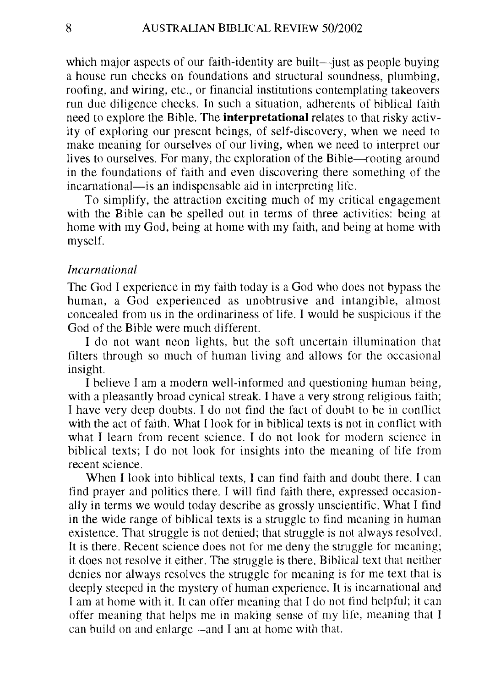which major aspects of our faith-identity are built—just as people buying a house run checks on foundations and structural soundness, plumbing, roofing, and wiring, etc., or financial institutions contemplating takeovers run due diligence checks. In such a situation, adherents of biblical faith need to explore the Bible. The **interpretational** relates to that risky activity of exploring our present beings, of self-discovery, when we need to make meaning for ourselves of our living, when we need to interpret our lives to ourselves. For many, the exploration of the Bible—rooting around in the foundations of faith and even discovering there something of the incarnational—is an indispensable aid in interpreting life.

To simplify, the attraction exciting much of my critical engagement with the Bible can be spelled out in terms of three activities: being at home with my God, being at home with my faith, and being at home with myself.

#### *Incarnational*

The God I experience in my faith today is a God who does not bypass the human, a God experienced as unobtrusive and intangible, almost concealed from us in the ordinariness of life. I would be suspicious if the God of the Bible were much different.

I do not want neon lights, but the soft uncertain illumination that filters through so much of human living and allows for the occasional insight.

I believe I am a modern well-informed and questioning human being, with a pleasantly broad cynical streak. I have a very strong religious faith; I have very deep doubts. I do not find the fact of doubt to be in contlict with the act of faith. What I look for in biblical texts is not in conflict with what I learn from recent science. I do not look for modern science in biblical texts; I do not look for insights into the meaning of life from recent science.

When I look into biblical texts. I can find faith and doubt there. I can find prayer and politics there. I will find faith there, expressed occasionally in terms we would today describe as grossly unscientific. What I find in the wide range of biblical texts is a struggle to find meaning in human existence. That struggle is not denied; that struggle is not always resolved. It is there. Recent science does not for me deny the struggle for meaning; it does not resolve it either. The stmggle is there. Biblical text that neither denies nor always resolves the struggle for meaning is for me text that is deeply steeped in the mystery of human experience. It is incarnational and I am at home with it. It can offer meaning that I do not find helpful; it can offer meaning that helps me in making sense of my life, meaning that I can build on and enlarge-and I am at home with that.